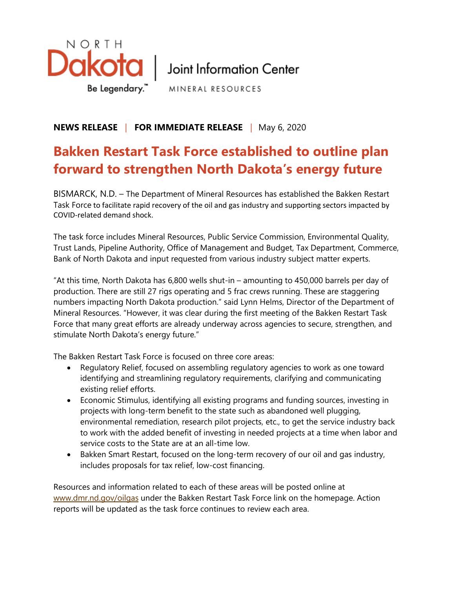

Be Legendary." MINERAL RESOURCES

## **NEWS RELEASE**  |**FOR IMMEDIATE RELEASE**  | May 6, 2020

## **Bakken Restart Task Force established to outline plan forward to strengthen North Dakota's energy future**

BISMARCK, N.D. – The Department of Mineral Resources has established the Bakken Restart Task Force to facilitate rapid recovery of the oil and gas industry and supporting sectors impacted by COVID-related demand shock.

The task force includes Mineral Resources, Public Service Commission, Environmental Quality, Trust Lands, Pipeline Authority, Office of Management and Budget, Tax Department, Commerce, Bank of North Dakota and input requested from various industry subject matter experts.

"At this time, North Dakota has 6,800 wells shut-in – amounting to 450,000 barrels per day of production. There are still 27 rigs operating and 5 frac crews running. These are staggering numbers impacting North Dakota production." said Lynn Helms, Director of the Department of Mineral Resources. "However, it was clear during the first meeting of the Bakken Restart Task Force that many great efforts are already underway across agencies to secure, strengthen, and stimulate North Dakota's energy future."

The Bakken Restart Task Force is focused on three core areas:

- Regulatory Relief, focused on assembling regulatory agencies to work as one toward identifying and streamlining regulatory requirements, clarifying and communicating existing relief efforts.
- Economic Stimulus, identifying all existing programs and funding sources, investing in projects with long-term benefit to the state such as abandoned well plugging, environmental remediation, research pilot projects, etc., to get the service industry back to work with the added benefit of investing in needed projects at a time when labor and service costs to the State are at an all-time low.
- Bakken Smart Restart, focused on the long-term recovery of our oil and gas industry, includes proposals for tax relief, low-cost financing.

Resources and information related to each of these areas will be posted online at [www.dmr.nd.gov/oilgas](http://www.dmr.nd.gov/oilgas) under the Bakken Restart Task Force link on the homepage. Action reports will be updated as the task force continues to review each area.